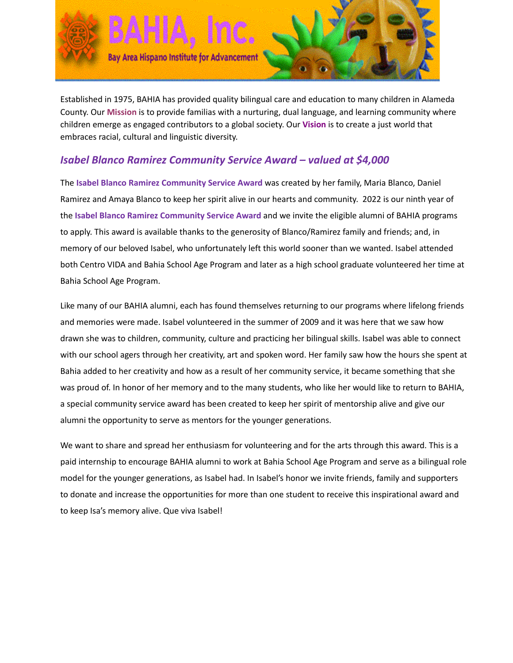

Established in 1975, BAHIA has provided quality bilingual care and education to many children in Alameda County. Our **Mission** is to provide familias with a nurturing, dual language, and learning community where children emerge as engaged contributors to a global society. Our **Vision** is to create a just world that embraces racial, cultural and linguistic diversity.

# *Isabel Blanco Ramirez Community Service Award – valued at \$4,000*

The **Isabel Blanco Ramirez Community Service Award** was created by her family, Maria Blanco, Daniel Ramirez and Amaya Blanco to keep her spirit alive in our hearts and community. 2022 is our ninth year of the **Isabel Blanco Ramirez Community Service Award** and we invite the eligible alumni of BAHIA programs to apply. This award is available thanks to the generosity of Blanco/Ramirez family and friends; and, in memory of our beloved Isabel, who unfortunately left this world sooner than we wanted. Isabel attended both Centro VIDA and Bahia School Age Program and later as a high school graduate volunteered her time at Bahia School Age Program.

Like many of our BAHIA alumni, each has found themselves returning to our programs where lifelong friends and memories were made. Isabel volunteered in the summer of 2009 and it was here that we saw how drawn she was to children, community, culture and practicing her bilingual skills. Isabel was able to connect with our school agers through her creativity, art and spoken word. Her family saw how the hours she spent at Bahia added to her creativity and how as a result of her community service, it became something that she was proud of. In honor of her memory and to the many students, who like her would like to return to BAHIA, a special community service award has been created to keep her spirit of mentorship alive and give our alumni the opportunity to serve as mentors for the younger generations.

We want to share and spread her enthusiasm for volunteering and for the arts through this award. This is a paid internship to encourage BAHIA alumni to work at Bahia School Age Program and serve as a bilingual role model for the younger generations, as Isabel had. In Isabel's honor we invite friends, family and supporters to donate and increase the opportunities for more than one student to receive this inspirational award and to keep Isa's memory alive. Que viva Isabel!